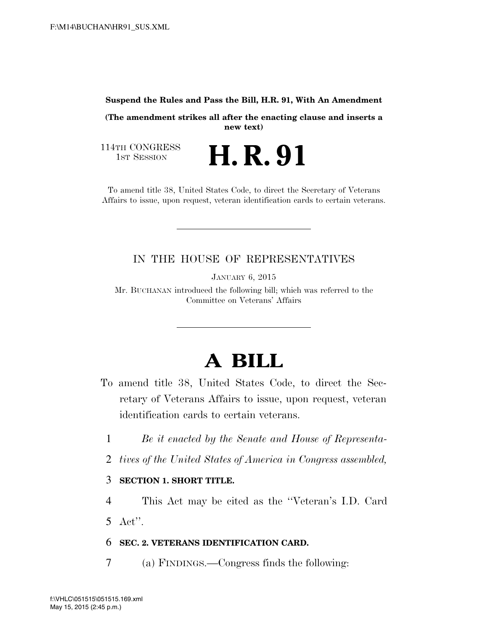#### **Suspend the Rules and Pass the Bill, H.R. 91, With An Amendment**

**(The amendment strikes all after the enacting clause and inserts a new text)** 

114TH CONGRESS<br>1st Session

H. R. 91

To amend title 38, United States Code, to direct the Secretary of Veterans Affairs to issue, upon request, veteran identification cards to certain veterans.

## IN THE HOUSE OF REPRESENTATIVES

JANUARY 6, 2015

Mr. BUCHANAN introduced the following bill; which was referred to the Committee on Veterans' Affairs

# **A BILL**

- To amend title 38, United States Code, to direct the Secretary of Veterans Affairs to issue, upon request, veteran identification cards to certain veterans.
	- 1 *Be it enacted by the Senate and House of Representa-*
	- 2 *tives of the United States of America in Congress assembled,*

#### 3 **SECTION 1. SHORT TITLE.**

4 This Act may be cited as the ''Veteran's I.D. Card 5 Act''.

#### 6 **SEC. 2. VETERANS IDENTIFICATION CARD.**

7 (a) FINDINGS.—Congress finds the following: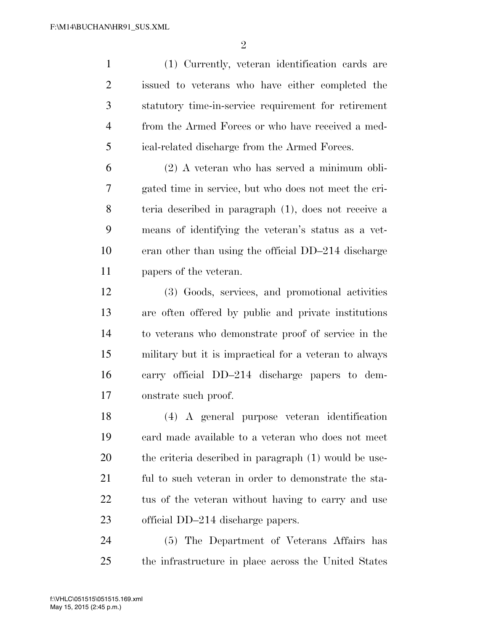$\mathfrak{D}$ 

 (1) Currently, veteran identification cards are issued to veterans who have either completed the statutory time-in-service requirement for retirement from the Armed Forces or who have received a med-ical-related discharge from the Armed Forces.

 (2) A veteran who has served a minimum obli- gated time in service, but who does not meet the cri- teria described in paragraph (1), does not receive a means of identifying the veteran's status as a vet- eran other than using the official DD–214 discharge papers of the veteran.

 (3) Goods, services, and promotional activities are often offered by public and private institutions to veterans who demonstrate proof of service in the military but it is impractical for a veteran to always carry official DD–214 discharge papers to dem-onstrate such proof.

 (4) A general purpose veteran identification card made available to a veteran who does not meet the criteria described in paragraph (1) would be use- ful to such veteran in order to demonstrate the sta-22 tus of the veteran without having to carry and use official DD–214 discharge papers.

 (5) The Department of Veterans Affairs has the infrastructure in place across the United States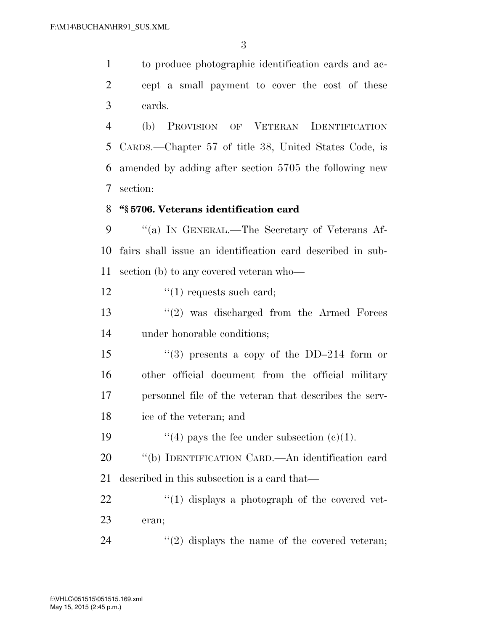to produce photographic identification cards and ac- cept a small payment to cover the cost of these cards.

 (b) PROVISION OF VETERAN IDENTIFICATION CARDS.—Chapter 57 of title 38, United States Code, is amended by adding after section 5705 the following new section:

### **''§ 5706. Veterans identification card**

9 "(a) In GENERAL.—The Secretary of Veterans Af- fairs shall issue an identification card described in sub-section (b) to any covered veteran who—

12  $\frac{1}{2}$   $\frac{1}{2}$  requests such card;

 ''(2) was discharged from the Armed Forces under honorable conditions;

 $\frac{1}{3}$  presents a copy of the DD–214 form or other official document from the official military personnel file of the veteran that describes the serv-ice of the veteran; and

19  $(4)$  pays the fee under subsection (c)(1).

 ''(b) IDENTIFICATION CARD.—An identification card described in this subsection is a card that—

 ''(1) displays a photograph of the covered vet-eran;

24  $(2)$  displays the name of the covered veteran;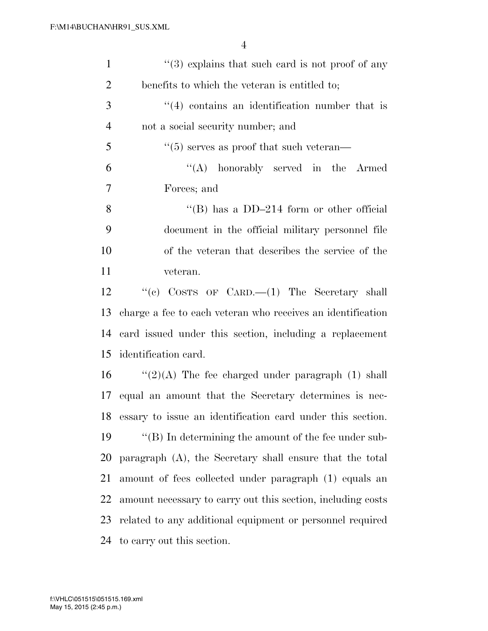| $\mathbf{1}$   | $\cdot\cdot$ (3) explains that such card is not proof of any |
|----------------|--------------------------------------------------------------|
| $\overline{2}$ | benefits to which the veteran is entitled to;                |
| 3              | $\cdot$ (4) contains an identification number that is        |
| $\overline{4}$ | not a social security number; and                            |
| 5              | $\cdot\cdot$ (5) serves as proof that such veteran—          |
| 6              | "(A) honorably served in the Armed                           |
| 7              | Forces; and                                                  |
| 8              | "(B) has a $DD-214$ form or other official                   |
| 9              | document in the official military personnel file             |
| 10             | of the veteran that describes the service of the             |
| 11             | veteran.                                                     |
| 12             | "(c) COSTS OF CARD.— $(1)$ The Secretary shall               |
| 13             | charge a fee to each veteran who receives an identification  |
| 14             | card issued under this section, including a replacement      |
| 15             | identification card.                                         |
| 16             | " $(2)(A)$ The fee charged under paragraph (1) shall         |
| 17             | equal an amount that the Secretary determines is nec-        |
| 18             | essary to issue an identification card under this section.   |
| 19             | "(B) In determining the amount of the fee under sub-         |
| 20             | paragraph (A), the Secretary shall ensure that the total     |
| 21             | amount of fees collected under paragraph (1) equals an       |
| 22             | amount necessary to carry out this section, including costs  |
| 23             | related to any additional equipment or personnel required    |
| 24             | to carry out this section.                                   |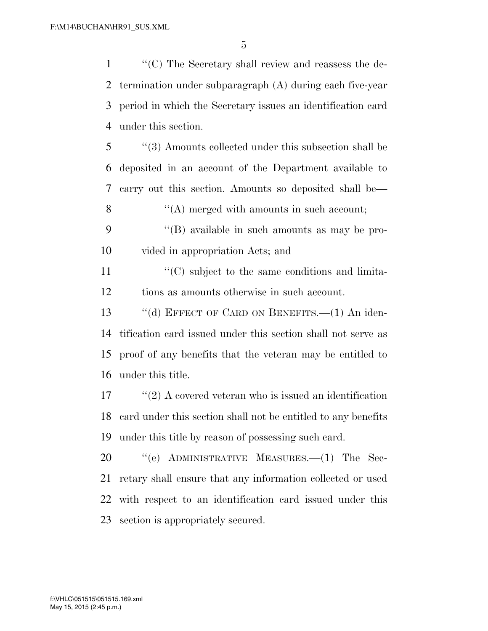''(C) The Secretary shall review and reassess the de- termination under subparagraph (A) during each five-year period in which the Secretary issues an identification card under this section.

 ''(3) Amounts collected under this subsection shall be deposited in an account of the Department available to carry out this section. Amounts so deposited shall be— 8 ''(A) merged with amounts in such account;

 ''(B) available in such amounts as may be pro-vided in appropriation Acts; and

11  $\langle ^{\prime}(C) \rangle$  subject to the same conditions and limita-tions as amounts otherwise in such account.

13 "(d) EFFECT OF CARD ON BENEFITS. (1) An iden- tification card issued under this section shall not serve as proof of any benefits that the veteran may be entitled to under this title.

 ''(2) A covered veteran who is issued an identification card under this section shall not be entitled to any benefits under this title by reason of possessing such card.

20 "(e) ADMINISTRATIVE MEASURES.—(1) The Sec- retary shall ensure that any information collected or used with respect to an identification card issued under this section is appropriately secured.